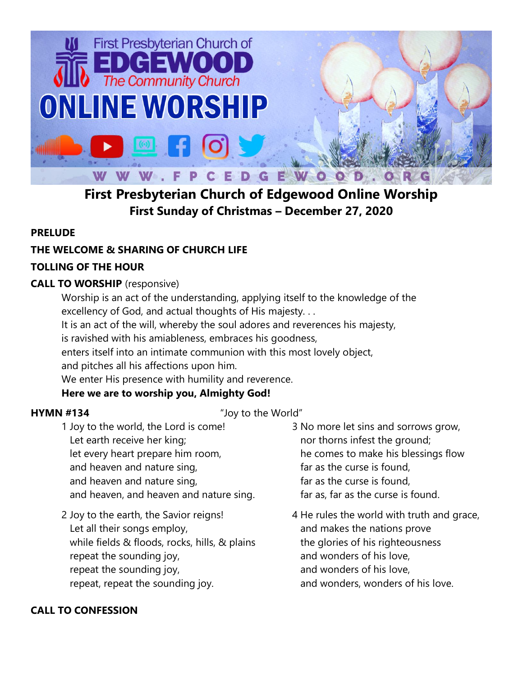

# **First Presbyterian Church of Edgewood Online Worship First Sunday of Christmas – December 27, 2020**

## **PRELUDE**

## **THE WELCOME & SHARING OF CHURCH LIFE**

## **TOLLING OF THE HOUR**

## **CALL TO WORSHIP** (responsive)

Worship is an act of the understanding, applying itself to the knowledge of the excellency of God, and actual thoughts of His majesty. . .

It is an act of the will, whereby the soul adores and reverences his majesty,

is ravished with his amiableness, embraces his goodness,

enters itself into an intimate communion with this most lovely object,

and pitches all his affections upon him.

We enter His presence with humility and reverence.

## **Here we are to worship you, Almighty God!**

## **HYMN #134** "Joy to the World"

- 1 Joy to the world, the Lord is come! Let earth receive her king; let every heart prepare him room, and heaven and nature sing, and heaven and nature sing, and heaven, and heaven and nature sing.
- 2 Joy to the earth, the Savior reigns! Let all their songs employ, while fields & floods, rocks, hills, & plains repeat the sounding joy, repeat the sounding joy, repeat, repeat the sounding joy.
- 3 No more let sins and sorrows grow, nor thorns infest the ground; he comes to make his blessings flow far as the curse is found, far as the curse is found, far as, far as the curse is found.
- 4 He rules the world with truth and grace, and makes the nations prove the glories of his righteousness and wonders of his love, and wonders of his love, and wonders, wonders of his love.

## **CALL TO CONFESSION**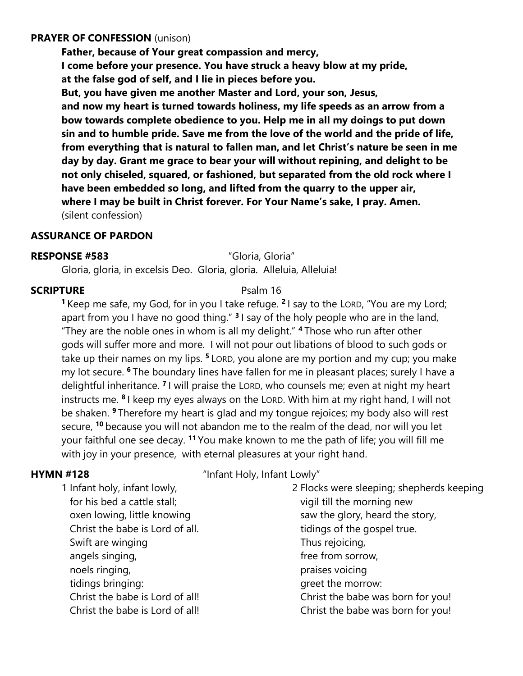### **PRAYER OF CONFESSION** (unison)

**Father, because of Your great compassion and mercy, I come before your presence. You have struck a heavy blow at my pride, at the false god of self, and I lie in pieces before you.** 

**But, you have given me another Master and Lord, your son, Jesus, and now my heart is turned towards holiness, my life speeds as an arrow from a bow towards complete obedience to you. Help me in all my doings to put down sin and to humble pride. Save me from the love of the world and the pride of life, from everything that is natural to fallen man, and let Christ's nature be seen in me day by day. Grant me grace to bear your will without repining, and delight to be not only chiseled, squared, or fashioned, but separated from the old rock where I have been embedded so long, and lifted from the quarry to the upper air, where I may be built in Christ forever. For Your Name's sake, I pray. Amen.**  (silent confession)

### **ASSURANCE OF PARDON**

### **RESPONSE #583** "Gloria, Gloria"

Gloria, gloria, in excelsis Deo. Gloria, gloria. Alleluia, Alleluia!

### **SCRIPTURE** Psalm 16

**<sup>1</sup>** Keep me safe, my God, for in you I take refuge. **<sup>2</sup>** I say to the LORD, "You are my Lord; apart from you I have no good thing." **<sup>3</sup>** I say of the holy people who are in the land, "They are the noble ones in whom is all my delight." **<sup>4</sup>** Those who run after other gods will suffer more and more. I will not pour out libations of blood to such gods or take up their names on my lips. **<sup>5</sup>** LORD, you alone are my portion and my cup; you make my lot secure. **<sup>6</sup>** The boundary lines have fallen for me in pleasant places; surely I have a delightful inheritance. **<sup>7</sup>** I will praise the LORD, who counsels me; even at night my heart instructs me. **<sup>8</sup>** I keep my eyes always on the LORD. With him at my right hand, I will not be shaken. **<sup>9</sup>** Therefore my heart is glad and my tongue rejoices; my body also will rest secure, **<sup>10</sup>** because you will not abandon me to the realm of the dead, nor will you let your faithful one see decay. **<sup>11</sup>** You make known to me the path of life; you will fill me with joy in your presence, with eternal pleasures at your right hand.

**HYMN #128** "Infant Holy, Infant Lowly"

1 Infant holy, infant lowly, for his bed a cattle stall; oxen lowing, little knowing Christ the babe is Lord of all. Swift are winging angels singing, noels ringing, tidings bringing: Christ the babe is Lord of all! Christ the babe is Lord of all!

2 Flocks were sleeping; shepherds keeping vigil till the morning new saw the glory, heard the story, tidings of the gospel true. Thus rejoicing, free from sorrow, praises voicing greet the morrow: Christ the babe was born for you! Christ the babe was born for you!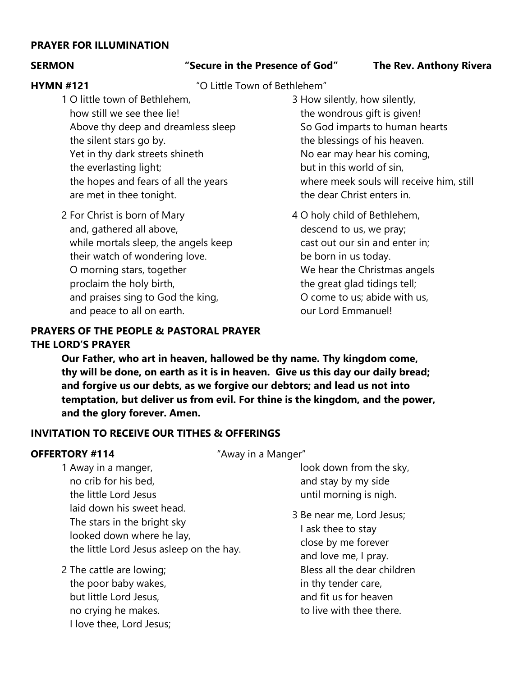### **PRAYER FOR ILLUMINATION**

### **SERMON "Secure in the Presence of God" The Rev. Anthony Rivera**

**HYMN #121** "O Little Town of Bethlehem"

- 1 O little town of Bethlehem, how still we see thee lie! Above thy deep and dreamless sleep the silent stars go by. Yet in thy dark streets shineth the everlasting light; the hopes and fears of all the years are met in thee tonight.
- 2 For Christ is born of Mary and, gathered all above, while mortals sleep, the angels keep their watch of wondering love. O morning stars, together proclaim the holy birth, and praises sing to God the king, and peace to all on earth.

## 3 How silently, how silently, the wondrous gift is given! So God imparts to human hearts the blessings of his heaven. No ear may hear his coming, but in this world of sin, where meek souls will receive him, still the dear Christ enters in.

4 O holy child of Bethlehem, descend to us, we pray; cast out our sin and enter in; be born in us today. We hear the Christmas angels the great glad tidings tell; O come to us; abide with us, our Lord Emmanuel!

## **PRAYERS OF THE PEOPLE & PASTORAL PRAYER THE LORD'S PRAYER**

**Our Father, who art in heaven, hallowed be thy name. Thy kingdom come, thy will be done, on earth as it is in heaven. Give us this day our daily bread; and forgive us our debts, as we forgive our debtors; and lead us not into temptation, but deliver us from evil. For thine is the kingdom, and the power, and the glory forever. Amen.**

## **INVITATION TO RECEIVE OUR TITHES & OFFERINGS**

**OFFERTORY #114** "Away in a Manger"

1 Away in a manger, no crib for his bed, the little Lord Jesus laid down his sweet head. The stars in the bright sky looked down where he lay, the little Lord Jesus asleep on the hay.

2 The cattle are lowing; the poor baby wakes, but little Lord Jesus, no crying he makes. I love thee, Lord Jesus;  look down from the sky, and stay by my side

until morning is nigh.

3 Be near me, Lord Jesus; I ask thee to stay close by me forever and love me, I pray. Bless all the dear children in thy tender care, and fit us for heaven to live with thee there.